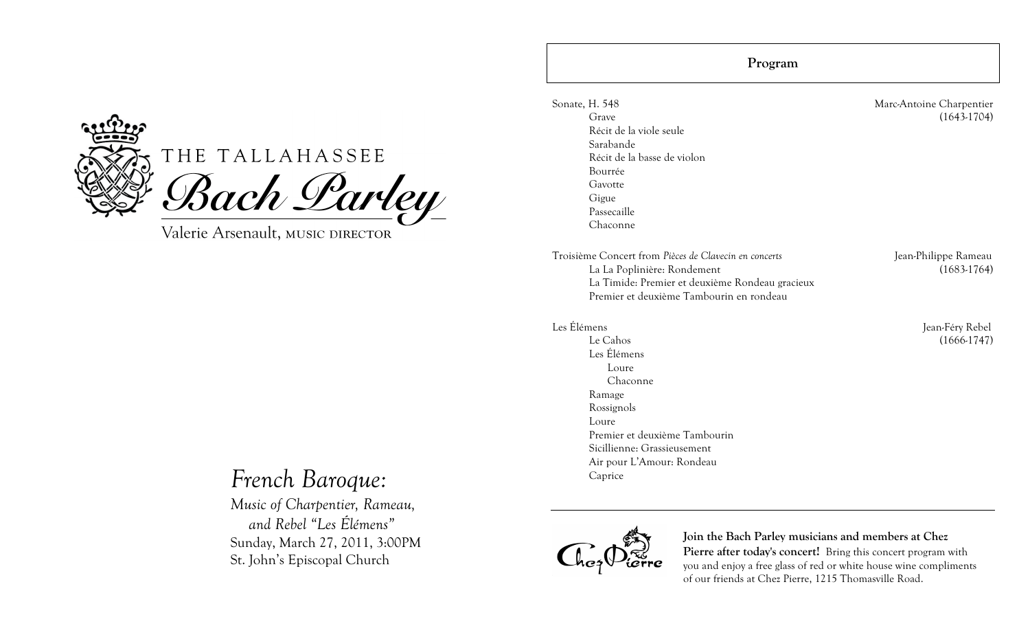

# THE TALLAHASSEE Bach Parley

Valerie Arsenault, MUSIC DIRECTOR

# *French Baroque:*

*Music of Charpentier, Rameau, and Rebel "Les Élémens"* Sunday, March 27, 2011, 3:00PM St. John's Episcopal Church

**Program**

Sonate, H. 548 Marc-Antoine Charpentier Grave (1643-1704) Récit de la viole seule Sarabande Récit de la basse de violon Bourrée Gavotte Gigue Passecaille Chaconne

Troisième Concert from *Pièces de Clavecin en concerts* Jean-Philippe Rameau La La Poplinière: Rondement (1683-1764) La Timide: Premier et deuxième Rondeau gracieux Premier et deuxième Tambourin en rondeau

Le Cahos (1666-1747) Les Élémens Loure Chaconne Ramage Rossignols Loure Premier et deuxième Tambourin Sicillienne: Grassieusement Air pour L'Amour: Rondeau Caprice

Les Élémens Jean-Féry Rebel



**Join the Bach Parley musicians and members at Chez**  Pierre after today's concert! Bring this concert program with you and enjoy a free glass of red or white house wine compliments of our friends at Chez Pierre, 1215 Thomasville Road.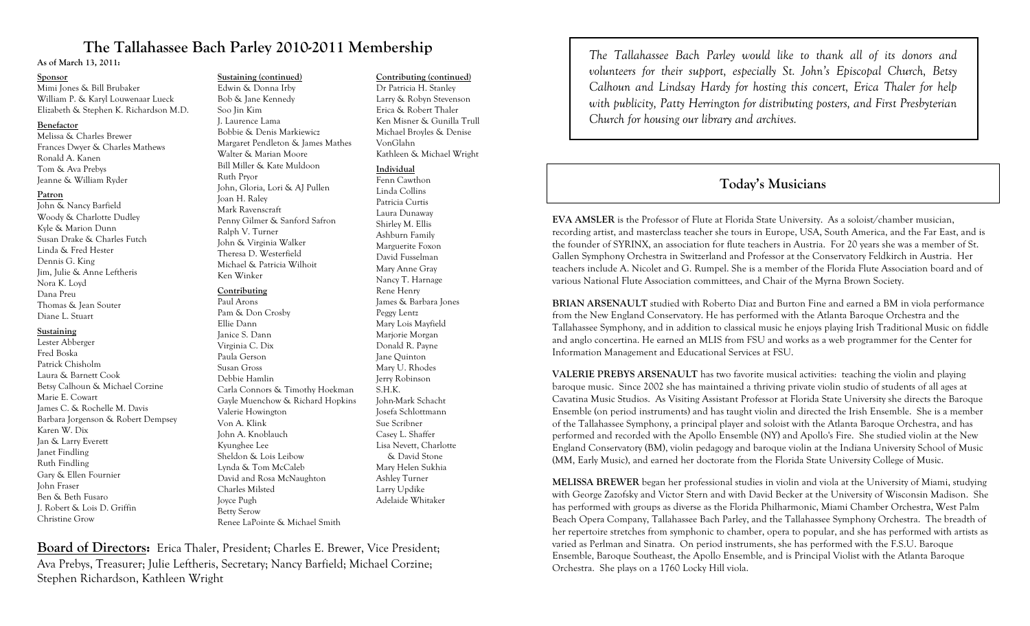# **The Tallahassee Bach Parley 2010-2011 Membership**

**As of March 13, 2011:**

#### **Sponsor**

Mimi Jones & Bill Brubaker William P. & Karyl Louwenaar Lueck Elizabeth & Stephen K. Richardson M.D.

#### **Benefactor**

Melissa & Charles Brewer Frances Dwyer & Charles Mathews Ronald A. Kanen Tom & Ava Prebys Jeanne & William Ryder

#### **Patron**

John & Nancy Barfield Woody & Charlotte Dudley Kyle & Marion Dunn Susan Drake & Charles Futch Linda & Fred Hester Dennis G. King Jim, Julie & Anne Leftheris Nora K. Loyd Dana Preu Thomas & Jean Souter Diane L. Stuart

#### **Sustaining**

Lester Abberger Fred Boska Patrick Chisholm Laura & Barnett Cook Betsy Calhoun & Michael Corzine Marie E. Cowart James C. & Rochelle M. Davis Barbara Jorgenson & Robert Dempsey Karen W. Dix Jan & Larry Everett Janet Findling Ruth Findling Gary & Ellen Fournier John Fraser Ben & Beth Fusaro J. Robert & Lois D. Griffin Christine Grow

### **Sustaining (continued)**

Edwin & Donna Irby Bob & Jane Kennedy Soo Jin Kim J. Laurence Lama Bobbie & Denis Markiewicz Margaret Pendleton & James Mathes Walter & Marian Moore Bill Miller & Kate Muldoon Ruth Pryor John, Gloria, Lori & AJ Pullen Joan H. Raley Mark Ravenscraft Penny Gilmer & Sanford Safron Ralph V. Turner John & Virginia Walker Theresa D. Westerfield Michael & Patricia Wilhoit Ken Winker

#### **Contributing**

Paul Arons Pam & Don Crosby Ellie Dann Janice S. Dann Virginia C. Dix Paula Gerson Susan Gross Debbie Hamlin Carla Connors & Timothy Hoekman Gayle Muenchow & Richard Hopkins Valerie Howington Von A. Klink John A. Knoblauch Kyunghee Lee Sheldon & Lois Leibow Lynda & Tom McCaleb David and Rosa McNaughton Charles Milsted Joyce Pugh Betty Serow Renee LaPointe & Michael Smith

#### **Contributing (continued)**

Dr Patricia H. Stanley Larry & Robyn Stevenson Erica & Robert Thaler Ken Misner & Gunilla Trull Michael Broyles & Denise VonGlahn Kathleen & Michael Wright

#### **Individual**

Fenn Cawthon Linda Collins Patricia Curtis Laura Dunaway Shirley M. Ellis Ashburn Family Marguerite Foxon David Fusselman Mary Anne Gray Nancy T. Harnage Rene Henry James & Barbara Jones Peggy Lentz Mary Lois Mayfield Marjorie Morgan Donald R. Payne Jane Quinton Mary U. Rhodes Jerry Robinson S.H.K. John-Mark Schacht Josefa Schlottmann Sue Scribner Casey L. Shaffer Lisa Nevett, Charlotte & David Stone Mary Helen Sukhia Ashley Turner Larry Updike Adelaide Whitaker

**Board of Directors:** Erica Thaler, President; Charles E. Brewer, Vice President; Ava Prebys, Treasurer; Julie Leftheris, Secretary; Nancy Barfield; Michael Corzine; Stephen Richardson, Kathleen Wright

*The Tallahassee Bach Parley would like to thank all of its donors and volunteers for their support, especially St. John's Episcopal Church, Betsy Calhoun and Lindsay Hardy for hosting this concert, Erica Thaler for help with publicity, Patty Herrington for distributing posters, and First Presbyterian Church for housing our library and archives.*

# **Today's Musicians**

**EVA AMSLER** is the Professor of Flute at Florida State University. As a soloist/chamber musician, recording artist, and masterclass teacher she tours in Europe, USA, South America, and the Far East, and is the founder of SYRINX, an association for flute teachers in Austria. For 20 years she was a member of St. Gallen Symphony Orchestra in Switzerland and Professor at the Conservatory Feldkirch in Austria. Her teachers include A. Nicolet and G. Rumpel. She is a member of the Florida Flute Association board and of various National Flute Association committees, and Chair of the Myrna Brown Society.

**BRIAN ARSENAULT** studied with Roberto Diaz and Burton Fine and earned a BM in viola performance from the New England Conservatory. He has performed with the Atlanta Baroque Orchestra and the Tallahassee Symphony, and in addition to classical music he enjoys playing Irish Traditional Music on fiddle and anglo concertina. He earned an MLIS from FSU and works as a web programmer for the Center for Information Management and Educational Services at FSU.

**VALERIE PREBYS ARSENAULT** has two favorite musical activities: teaching the violin and playing baroque music. Since 2002 she has maintained a thriving private violin studio of students of all ages at Cavatina Music Studios. As Visiting Assistant Professor at Florida State University she directs the Baroque Ensemble (on period instruments) and has taught violin and directed the Irish Ensemble. She is a member of the Tallahassee Symphony, a principal player and soloist with the Atlanta Baroque Orchestra, and has performed and recorded with the Apollo Ensemble (NY) and Apollo's Fire. She studied violin at the New England Conservatory (BM), violin pedagogy and baroque violin at the Indiana University School of Music (MM, Early Music), and earned her doctorate from the Florida State University College of Music.

**MELISSA BREWER** began her professional studies in violin and viola at the University of Miami, studying with George Zazofsky and Victor Stern and with David Becker at the University of Wisconsin Madison. She has performed with groups as diverse as the Florida Philharmonic, Miami Chamber Orchestra, West Palm Beach Opera Company, Tallahassee Bach Parley, and the Tallahassee Symphony Orchestra. The breadth of her repertoire stretches from symphonic to chamber, opera to popular, and she has performed with artists as varied as Perlman and Sinatra. On period instruments, she has performed with the F.S.U. Baroque Ensemble, Baroque Southeast, the Apollo Ensemble, and is Principal Violist with the Atlanta Baroque Orchestra. She plays on a 1760 Locky Hill viola.